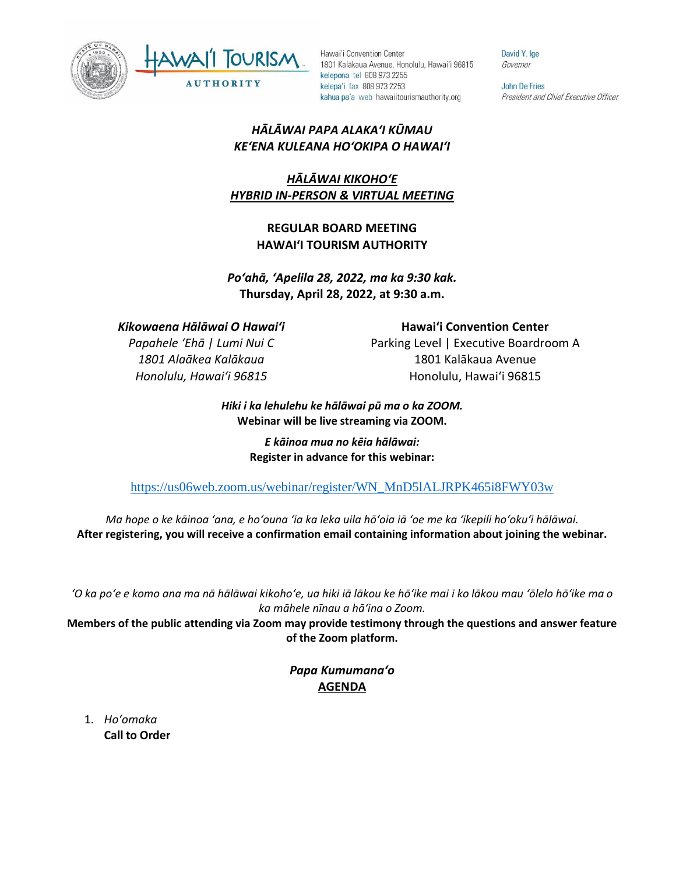



David Y. Ige Governor

John De Fries President and Chief Executive Officer

## *HĀLĀWAI PAPA ALAKAʻI KŪMAU KEʻENA KULEANA HOʻOKIPA O HAWAIʻI*

# *HĀLĀWAI KIKOHOʻE HYBRID IN-PERSON & VIRTUAL MEETING*

## **REGULAR BOARD MEETING HAWAI'I TOURISM AUTHORITY**

*Poʻahā, ʻApelila 28, 2022, ma ka 9:30 kak.* **Thursday, April 28, 2022, at 9:30 a.m.**

*Kikowaena Hālāwai O Hawaiʻi*

*Papahele ʻEhā | Lumi Nui C 1801 Alaākea Kalākaua Honolulu, Hawaiʻi 96815*

**Hawaiʻi Convention Center** Parking Level | Executive Boardroom A 1801 Kalākaua Avenue Honolulu, Hawaiʻi 96815

#### *Hiki i ka lehulehu ke hālāwai pū ma o ka ZOOM.* **Webinar will be live streaming via ZOOM.**

*E kāinoa mua no kēia hālāwai:* **Register in advance for this webinar:**

[https://us06web.zoom.us/webinar/register/WN\\_MnD5lALJRPK465i8FWY03w](https://us06web.zoom.us/webinar/register/WN_MnD5lALJRPK465i8FWY03w)

*Ma hope o ke kāinoa ʻana, e hoʻouna ʻia ka leka uila hōʻoia iā ʻoe me ka ʻikepili hoʻokuʻi hālāwai.* **After registering, you will receive a confirmation email containing information about joining the webinar.** 

*ʻO ka poʻe e komo ana ma nā hālāwai kikohoʻe, ua hiki iā lākou ke hōʻike mai i ko lākou mau ʻōlelo hōʻike ma o ka māhele nīnau a hāʻina o Zoom.*

**Members of the public attending via Zoom may provide testimony through the questions and answer feature of the Zoom platform.**

> *Papa Kumumanaʻo* **AGENDA**

1. *Ho'omaka* **Call to Order**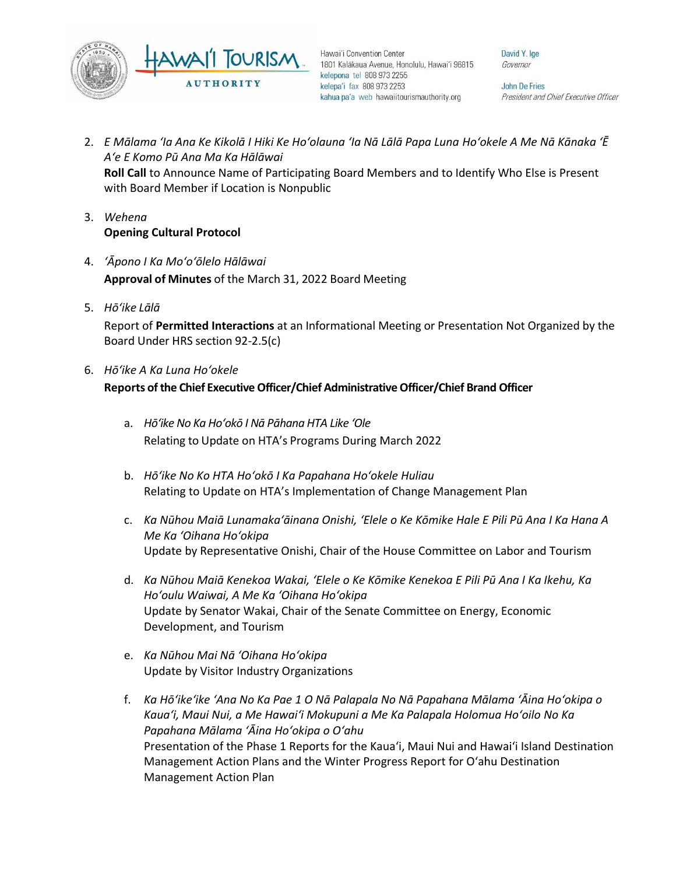

David Y. Ige Governor

John De Fries President and Chief Executive Officer

- 2. *E Mālama ʻIa Ana Ke Kikolā I Hiki Ke Hoʻolauna ʻIa Nā Lālā Papa Luna Hoʻokele A Me Nā Kānaka ʻĒ Aʻe E Komo Pū Ana Ma Ka Hālāwai* **Roll Call** to Announce Name of Participating Board Members and to Identify Who Else is Present with Board Member if Location is Nonpublic
- 3. *Wehena* **Opening Cultural Protocol**
- 4. *ʻĀpono I Ka Moʻoʻōlelo Hālāwai* **Approval of Minutes** of the March 31, 2022 Board Meeting
- 5. *Hō'ike Lālā*

Report of **Permitted Interactions** at an Informational Meeting or Presentation Not Organized by the Board Under HRS section 92-2.5(c)

6. *Hōʻike A Ka Luna Hoʻokele*

#### **Reports of the Chief Executive Officer/Chief Administrative Officer/Chief Brand Officer**

- a. *Hōʻike No Ka Hoʻokō I Nā Pāhana HTA Like ʻOle* Relating to Update on HTA's Programs During March 2022
- b. *Hōʻike No Ko HTA Hoʻokō I Ka Papahana Hoʻokele Huliau* Relating to Update on HTA's Implementation of Change Management Plan
- c. *Ka Nūhou Maiā Lunamakaʻāinana Onishi, ʻElele o Ke Kōmike Hale E Pili Pū Ana I Ka Hana A Me Ka ʻOihana Hoʻokipa* Update by Representative Onishi, Chair of the House Committee on Labor and Tourism
- d. *Ka Nūhou Maiā Kenekoa Wakai, ʻElele o Ke Kōmike Kenekoa E Pili Pū Ana I Ka Ikehu, Ka Hoʻoulu Waiwai, A Me Ka ʻOihana Hoʻokipa* Update by Senator Wakai, Chair of the Senate Committee on Energy, Economic Development, and Tourism
- e. *Ka Nūhou Mai Nā ʻOihana Hoʻokipa* Update by Visitor Industry Organizations
- f. *Ka Hōʻikeʻike ʻAna No Ka Pae 1 O Nā Palapala No Nā Papahana Mālama ʻĀina Hoʻokipa o Kauaʻi, Maui Nui, a Me Hawaiʻi Mokupuni a Me Ka Palapala Holomua Hoʻoilo No Ka Papahana Mālama ʻĀina Hoʻokipa o Oʻahu* Presentation of the Phase 1 Reports for the Kaua'i, Maui Nui and Hawai'i Island Destination Management Action Plans and the Winter Progress Report for O'ahu Destination Management Action Plan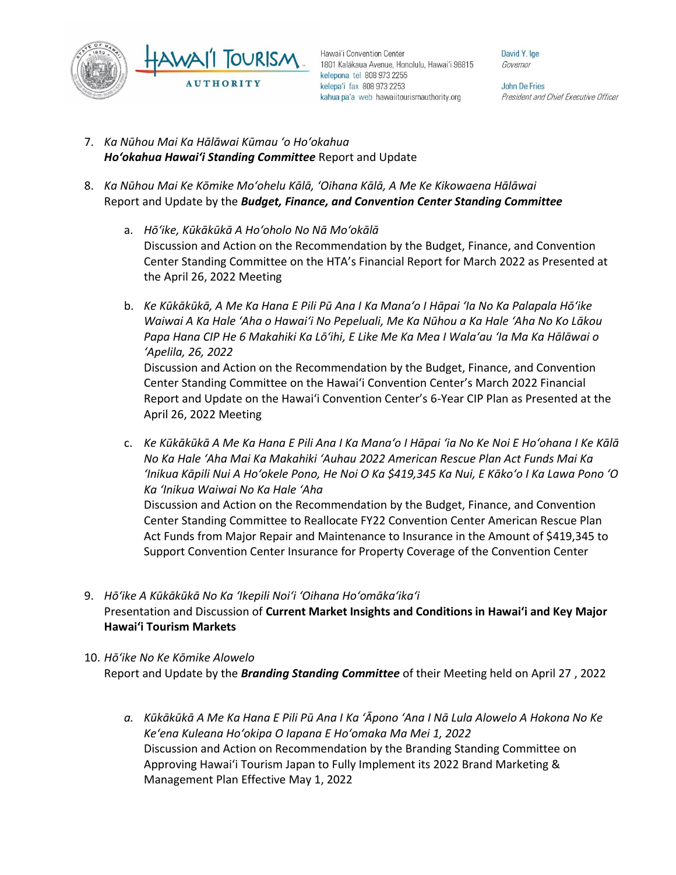

David Y. Ige Governor

John De Fries President and Chief Executive Officer

- 7. *Ka Nūhou Mai Ka Hālāwai Kūmau ʻo Hoʻokahua Hoʻokahua Hawai'i Standing Committee* Report and Update
- 8. *Ka Nūhou Mai Ke Kōmike Moʻohelu Kālā, ʻOihana Kālā, A Me Ke Kikowaena Hālāwai* Report and Update by the *Budget, Finance, and Convention Center Standing Committee*
	- a. *Hōʻike, Kūkākūkā A Hoʻoholo No Nā Moʻokālā* Discussion and Action on the Recommendation by the Budget, Finance, and Convention Center Standing Committee on the HTA's Financial Report for March 2022 as Presented at the April 26, 2022 Meeting
	- b. *Ke Kūkākūkā, A Me Ka Hana E Pili Pū Ana I Ka Manaʻo I Hāpai ʻIa No Ka Palapala Hōʻike Waiwai A Ka Hale ʻAha o Hawaiʻi No Pepeluali, Me Ka Nūhou a Ka Hale ʻAha No Ko Lākou Papa Hana CIP He 6 Makahiki Ka Lōʻihi, E Like Me Ka Mea I Walaʻau ʻIa Ma Ka Hālāwai o ʻApelila, 26, 2022* Discussion and Action on the Recommendation by the Budget, Finance, and Convention Center Standing Committee on the Hawai'i Convention Center's March 2022 Financial Report and Update on the Hawai'i Convention Center's 6-Year CIP Plan as Presented at the April 26, 2022 Meeting
	- c. *Ke Kūkākūkā A Me Ka Hana E Pili Ana I Ka Manaʻo I Hāpai ʻia No Ke Noi E Hoʻohana I Ke Kālā No Ka Hale ʻAha Mai Ka Makahiki ʻAuhau 2022 American Rescue Plan Act Funds Mai Ka ʻInikua Kāpili Nui A Hoʻokele Pono, He Noi O Ka \$419,345 Ka Nui, E Kākoʻo I Ka Lawa Pono ʻO Ka ʻInikua Waiwai No Ka Hale ʻAha*

Discussion and Action on the Recommendation by the Budget, Finance, and Convention Center Standing Committee to Reallocate FY22 Convention Center American Rescue Plan Act Funds from Major Repair and Maintenance to Insurance in the Amount of \$419,345 to Support Convention Center Insurance for Property Coverage of the Convention Center

- 9. *Hōʻike A Kūkākūkā No Ka ʻIkepili Noiʻi ʻOihana Hoʻomākaʻikaʻi* Presentation and Discussion of **Current Market Insights and Conditions in Hawai'i and Key Major Hawai'i Tourism Markets**
- 10. *Hōʻike No Ke Kōmike Alowelo* Report and Update by the *Branding Standing Committee* of their Meeting held on April 27 , 2022
	- *a. Kūkākūkā A Me Ka Hana E Pili Pū Ana I Ka ʻĀpono ʻAna I Nā Lula Alowelo A Hokona No Ke Keʻena Kuleana Hoʻokipa O Iapana E Hoʻomaka Ma Mei 1, 2022* Discussion and Action on Recommendation by the Branding Standing Committee on Approving Hawaiʻi Tourism Japan to Fully Implement its 2022 Brand Marketing & Management Plan Effective May 1, 2022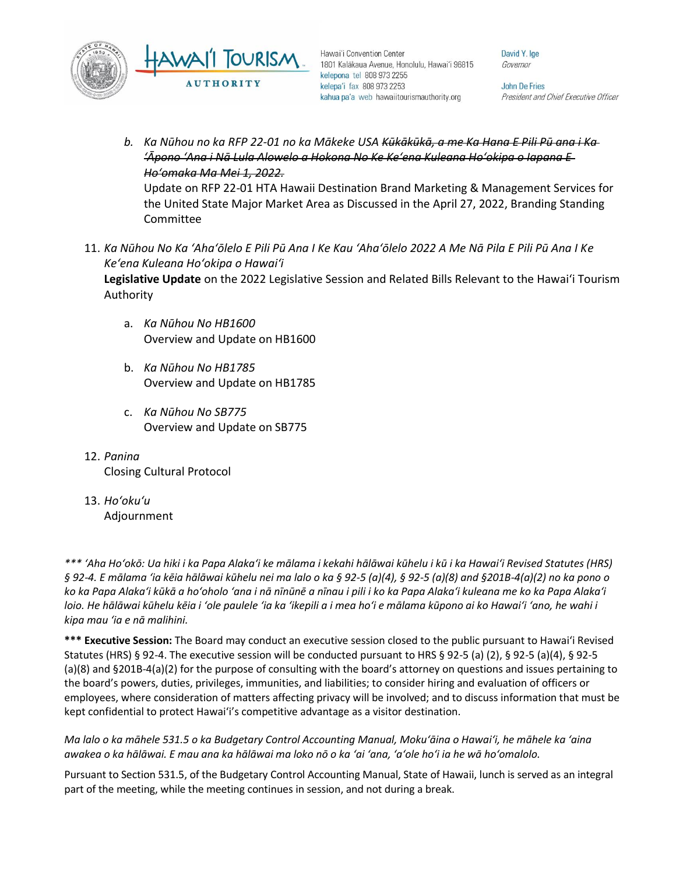

David Y. Ige Governor

**John De Fries** President and Chief Executive Officer

- *b. Ka Nūhou no ka RFP 22-01 no ka Mākeke USA Kūkākūkā, a me Ka Hana E Pili Pū ana i Ka ʻĀpono ʻAna i Nā Lula Alowelo a Hokona No Ke Keʻena Kuleana Hoʻokipa o Iapana E Hoʻomaka Ma Mei 1, 2022.*  Update on RFP 22-01 HTA Hawaii Destination Brand Marketing & Management Services for the United State Major Market Area as Discussed in the April 27, 2022, Branding Standing Committee
- 11. *Ka Nūhou No Ka ʻAhaʻōlelo E Pili Pū Ana I Ke Kau ʻAhaʻōlelo 2022 A Me Nā Pila E Pili Pū Ana I Ke Keʻena Kuleana Hoʻokipa o Hawaiʻi* **Legislative Update** on the 2022 Legislative Session and Related Bills Relevant to the Hawaiʻi Tourism Authority
	- a. *Ka Nūhou No HB1600* Overview and Update on HB1600
	- b. *Ka Nūhou No HB1785* Overview and Update on HB1785
	- c. *Ka Nūhou No SB775* Overview and Update on SB775
- 12. *Panina* Closing Cultural Protocol
- 13. *Ho'oku'u* Adjournment

*\*\*\* ʻAha Hoʻokō: Ua hiki i ka Papa Alakaʻi ke mālama i kekahi hālāwai kūhelu i kū i ka Hawaiʻi Revised Statutes (HRS) § 92-4. E mālama ʻia kēia hālāwai kūhelu nei ma lalo o ka § 92-5 (a)(4), § 92-5 (a)(8) and §201B-4(a)(2) no ka pono o ko ka Papa Alakaʻi kūkā a hoʻoholo ʻana i nā nīnūnē a nīnau i pili i ko ka Papa Alakaʻi kuleana me ko ka Papa Alakaʻi loio. He hālāwai kūhelu kēia i ʻole paulele ʻia ka ʻikepili a i mea hoʻi e mālama kūpono ai ko Hawaiʻi ʻano, he wahi i kipa mau ʻia e nā malihini.*

**\*\*\* Executive Session:** The Board may conduct an executive session closed to the public pursuant to Hawai'i Revised Statutes (HRS) § 92-4. The executive session will be conducted pursuant to HRS § 92-5 (a) (2), § 92-5 (a)(4), § 92-5 (a)(8) and §201B-4(a)(2) for the purpose of consulting with the board's attorney on questions and issues pertaining to the board's powers, duties, privileges, immunities, and liabilities; to consider hiring and evaluation of officers or employees, where consideration of matters affecting privacy will be involved; and to discuss information that must be kept confidential to protect Hawai'i's competitive advantage as a visitor destination.

*Ma lalo o ka māhele 531.5 o ka Budgetary Control Accounting Manual, Mokuʻāina o Hawaiʻi, he māhele ka ʻaina awakea o ka hālāwai. E mau ana ka hālāwai ma loko nō o ka ʻai ʻana, ʻaʻole hoʻi ia he wā hoʻomalolo.*

Pursuant to Section 531.5, of the Budgetary Control Accounting Manual, State of Hawaii, lunch is served as an integral part of the meeting, while the meeting continues in session, and not during a break.